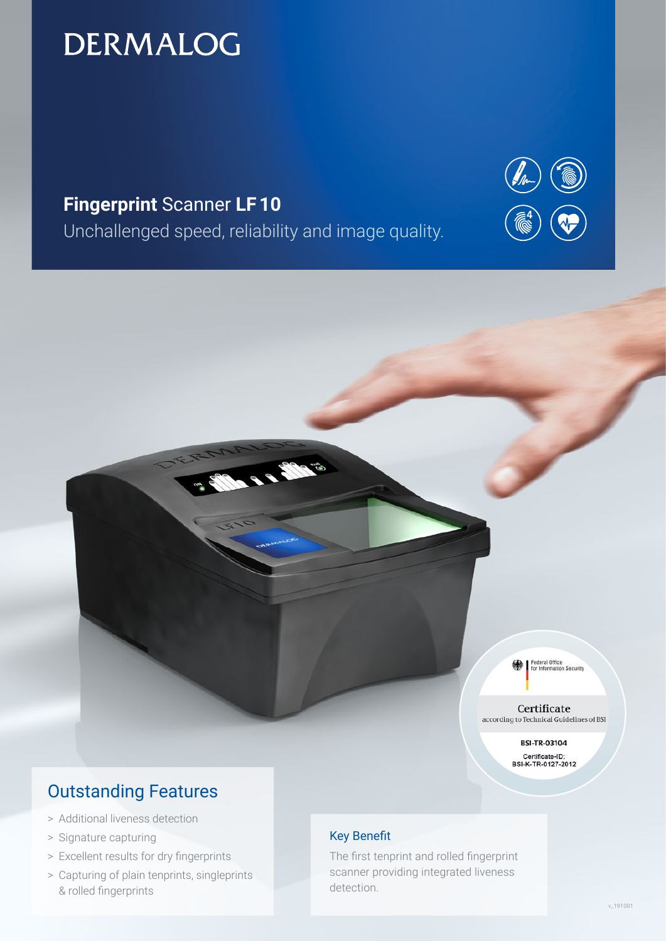# **DERMALOG**

# **Fingerprint** Scanner **LF 10**

Unchallenged speed, reliability and image quality.

**Sep 28** 



Federal Office<br>for Information Security

Certificate according to Technical Guidelines of BSI

> **BSI-TR-03104** Certificate-ID:<br>BSI-K-TR-0127-2012

# Outstanding Features

- > Additional liveness detection
- > Signature capturing
- > Excellent results for dry fingerprints
- > Capturing of plain tenprints, singleprints & rolled fingerprints

# Key Benefit

The first tenprint and rolled fingerprint scanner providing integrated liveness detection.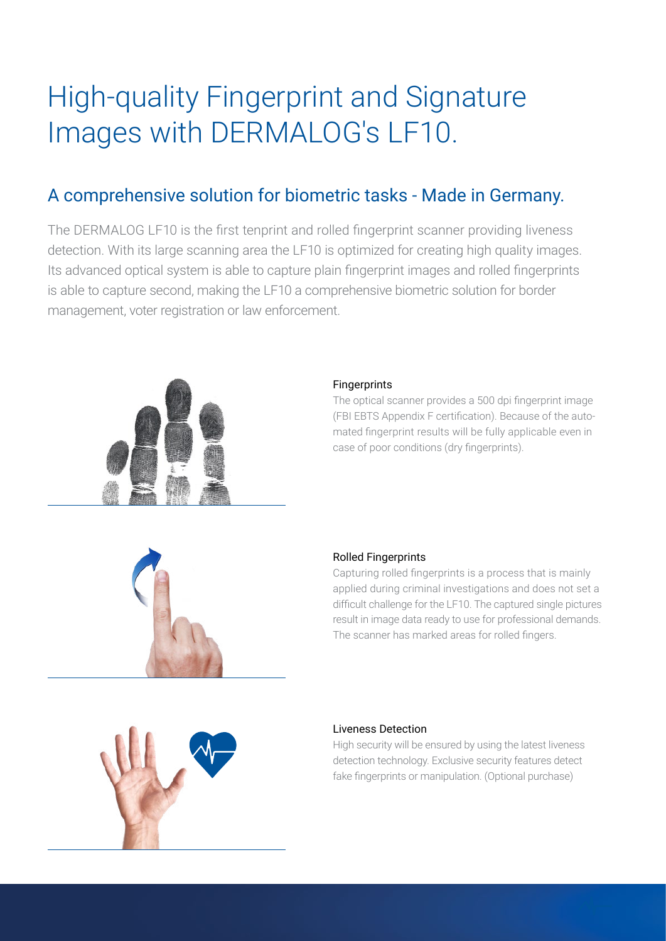# High-quality Fingerprint and Signature Images with DERMALOG's LF10.

# A comprehensive solution for biometric tasks - Made in Germany.

The DERMALOG LF10 is the first tenprint and rolled fingerprint scanner providing liveness detection. With its large scanning area the LF10 is optimized for creating high quality images. Its advanced optical system is able to capture plain fingerprint images and rolled fingerprints is able to capture second, making the LF10 a comprehensive biometric solution for border management, voter registration or law enforcement.



## Fingerprints

The optical scanner provides a 500 dpi fingerprint image (FBI EBTS Appendix F certification). Because of the automated fingerprint results will be fully applicable even in case of poor conditions (dry fingerprints).



## Rolled Fingerprints

Capturing rolled fingerprints is a process that is mainly applied during criminal investigations and does not set a difficult challenge for the LF10. The captured single pictures result in image data ready to use for professional demands. The scanner has marked areas for rolled fingers.



## Liveness Detection

High security will be ensured by using the latest liveness detection technology. Exclusive security features detect fake fingerprints or manipulation. (Optional purchase)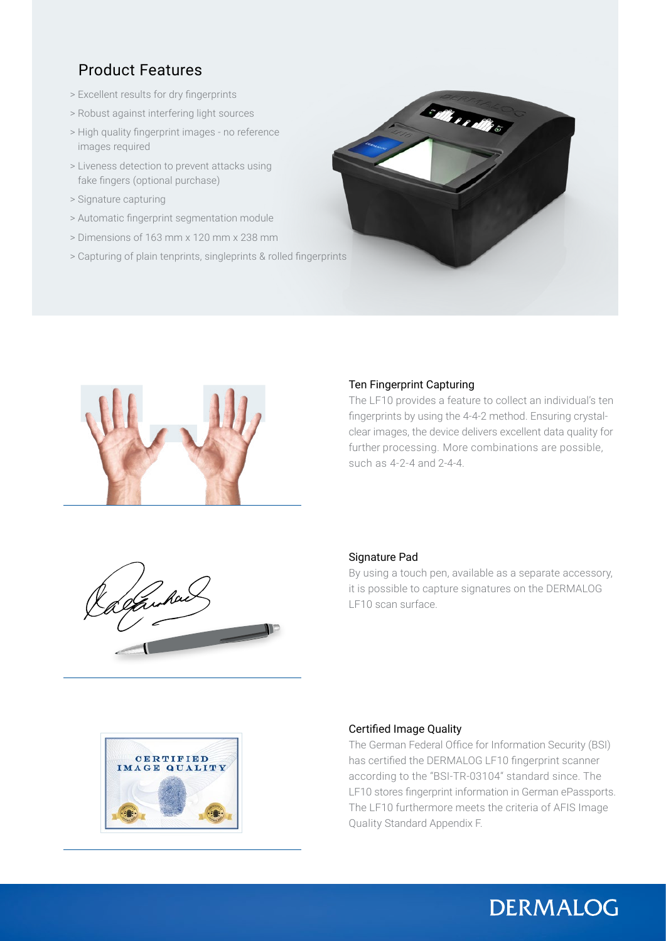# Product Features

- > Excellent results for dry fingerprints
- > Robust against interfering light sources
- > High quality fingerprint images no reference images required
- > Liveness detection to prevent attacks using fake fingers (optional purchase)
- > Signature capturing
- > Automatic fingerprint segmentation module
- > Dimensions of 163 mm x 120 mm x 238 mm
- > Capturing of plain tenprints, singleprints & rolled fingerprints





### Ten Fingerprint Capturing

The LF10 provides a feature to collect an individual's ten fingerprints by using the 4-4-2 method. Ensuring crystalclear images, the device delivers excellent data quality for further processing. More combinations are possible, such as 4-2-4 and 2-4-4.



### Signature Pad

By using a touch pen, available as a separate accessory, it is possible to capture signatures on the DERMALOG LF10 scan surface.



### Certified Image Quality

The German Federal Office for Information Security (BSI) has certified the DERMALOG LF10 fingerprint scanner according to the "BSI-TR-03104" standard since. The LF10 stores fingerprint information in German ePassports. The LF10 furthermore meets the criteria of AFIS Image Quality Standard Appendix F.

**DERMALOG**